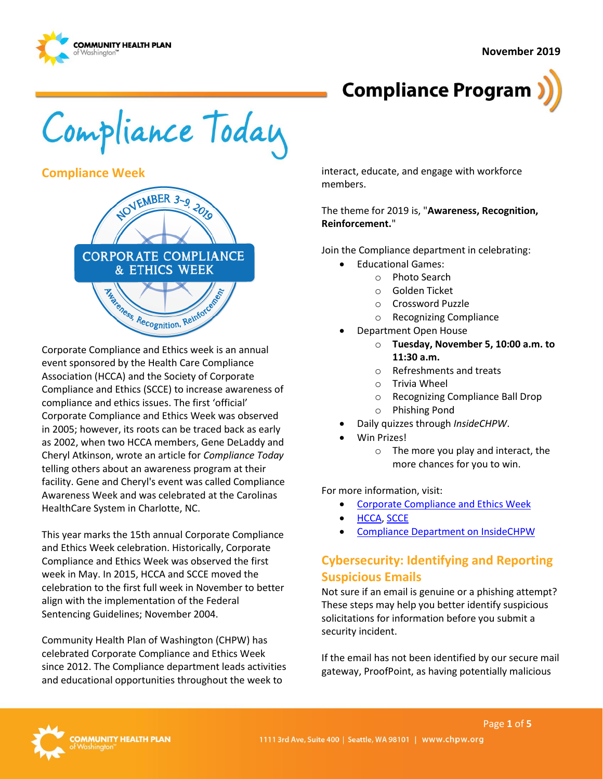

## **Compliance Program**

Compliance Today

#### **Compliance Week**



Corporate Compliance and Ethics week is an annual event sponsored by the Health Care Compliance Association (HCCA) and the Society of Corporate Compliance and Ethics (SCCE) to increase awareness of compliance and ethics issues. The first 'official' Corporate Compliance and Ethics Week was observed in 2005; however, its roots can be traced back as early as 2002, when two HCCA members, Gene DeLaddy and Cheryl Atkinson, wrote an article for *Compliance Today* telling others about an awareness program at their facility. Gene and Cheryl's event was called Compliance Awareness Week and was celebrated at the Carolinas HealthCare System in Charlotte, NC.

This year marks the 15th annual Corporate Compliance and Ethics Week celebration. Historically, Corporate Compliance and Ethics Week was observed the first week in May. In 2015, HCCA and SCCE moved the celebration to the first full week in November to better align with the implementation of the Federal Sentencing Guidelines; November 2004.

Community Health Plan of Washington (CHPW) has celebrated Corporate Compliance and Ethics Week since 2012. The Compliance department leads activities and educational opportunities throughout the week to

interact, educate, and engage with workforce members.

The theme for 2019 is, "**Awareness, Recognition, Reinforcement.**"

Join the Compliance department in celebrating:

- Educational Games:
	- o Photo Search
	- o Golden Ticket
	- o Crossword Puzzle
	- o Recognizing Compliance
- Department Open House
	- o **Tuesday, November 5, 10:00 a.m. to 11:30 a.m.**
	- o Refreshments and treats
	- o Trivia Wheel
	- o Recognizing Compliance Ball Drop
	- o Phishing Pond
- Daily quizzes through *InsideCHPW*.
- Win Prizes!
	- o The more you play and interact, the more chances for you to win.

For more information, visit:

- [Corporate Compliance and Ethics Week](http://www.hcca-info.org/Products/CorporateComplianceEthicsWeek.aspx)
- **[HCCA,](http://www.hcca-info.org/) [SCCE](http://www.corporatecompliance.org/)**
- [Compliance Department on InsideCHPW](https://inside.chpw.org/departments/compliance)

### **Cybersecurity: Identifying and Reporting Suspicious Emails**

Not sure if an email is genuine or a phishing attempt? These steps may help you better identify suspicious solicitations for information before you submit a security incident.

If the email has not been identified by our secure mail gateway, ProofPoint, as having potentially malicious

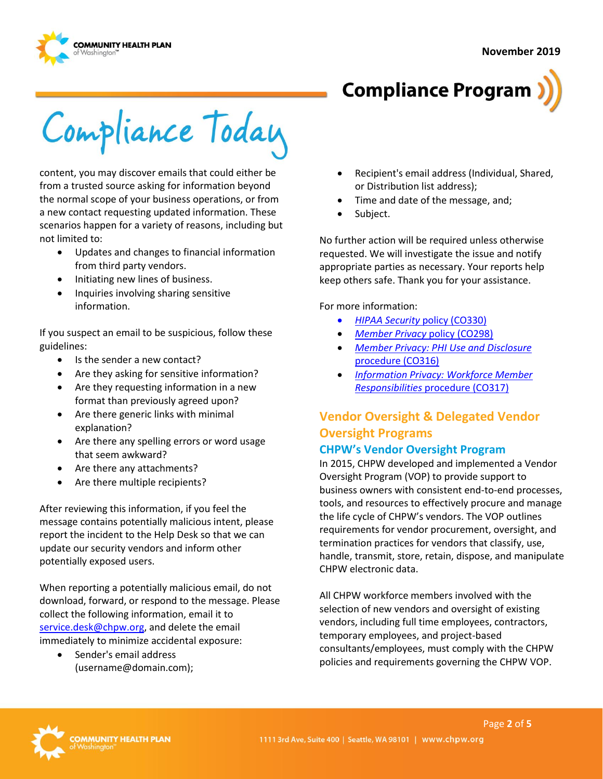



Compliance Today

content, you may discover emails that could either be from a trusted source asking for information beyond the normal scope of your business operations, or from a new contact requesting updated information. These scenarios happen for a variety of reasons, including but not limited to:

- Updates and changes to financial information from third party vendors.
- Initiating new lines of business.
- Inquiries involving sharing sensitive information.

If you suspect an email to be suspicious, follow these guidelines:

- Is the sender a new contact?
- Are they asking for sensitive information?
- Are they requesting information in a new format than previously agreed upon?
- Are there generic links with minimal explanation?
- Are there any spelling errors or word usage that seem awkward?
- Are there any attachments?
- Are there multiple recipients?

After reviewing this information, if you feel the message contains potentially malicious intent, please report the incident to the Help Desk so that we can update our security vendors and inform other potentially exposed users.

When reporting a potentially malicious email, do not download, forward, or respond to the message. Please collect the following information, email it to [service.desk@chpw.org,](mailto:service.desk@chpw.org) and delete the email immediately to minimize accidental exposure:

• Sender's email address (username@domain.com);

- Recipient's email address (Individual, Shared, or Distribution list address);
- Time and date of the message, and;
- Subject.

No further action will be required unless otherwise requested. We will investigate the issue and notify appropriate parties as necessary. Your reports help keep others safe. Thank you for your assistance.

For more information:

- *[HIPAA Security](http://chpsp/PP/Compliance/HIPAA%20Security%20Policy%20-%20CO330.pdf)* policy (CO330)
- *[Member Privacy](http://chpsp/PP/Compliance/Member%20Privacy%20Policy%20-%20CO298.pdf)* policy (CO298)
- *[Member Privacy: PHI Use and Disclosure](http://chpsp/PP/Compliance/Member%20Privacy-PHI%20Use%20and%20Disclosure%20Procedure%20-%20CO316.pdf)*  [procedure \(CO316\)](http://chpsp/PP/Compliance/Member%20Privacy-PHI%20Use%20and%20Disclosure%20Procedure%20-%20CO316.pdf)
- *[Information Privacy: Workforce Member](http://chpsp/PP/Compliance/Information%20Privacy%20Workforce%20Member%20Responsibilities%20Procedure%20-%20CO317.pdf)  Responsibilities* [procedure \(CO317\)](http://chpsp/PP/Compliance/Information%20Privacy%20Workforce%20Member%20Responsibilities%20Procedure%20-%20CO317.pdf)

## **Vendor Oversight & Delegated Vendor Oversight Programs**

#### **CHPW's Vendor Oversight Program**

In 2015, CHPW developed and implemented a Vendor Oversight Program (VOP) to provide support to business owners with consistent end-to-end processes, tools, and resources to effectively procure and manage the life cycle of CHPW's vendors. The VOP outlines requirements for vendor procurement, oversight, and termination practices for vendors that classify, use, handle, transmit, store, retain, dispose, and manipulate CHPW electronic data.

All CHPW workforce members involved with the selection of new vendors and oversight of existing vendors, including full time employees, contractors, temporary employees, and project-based consultants/employees, must comply with the CHPW policies and requirements governing the CHPW VOP.

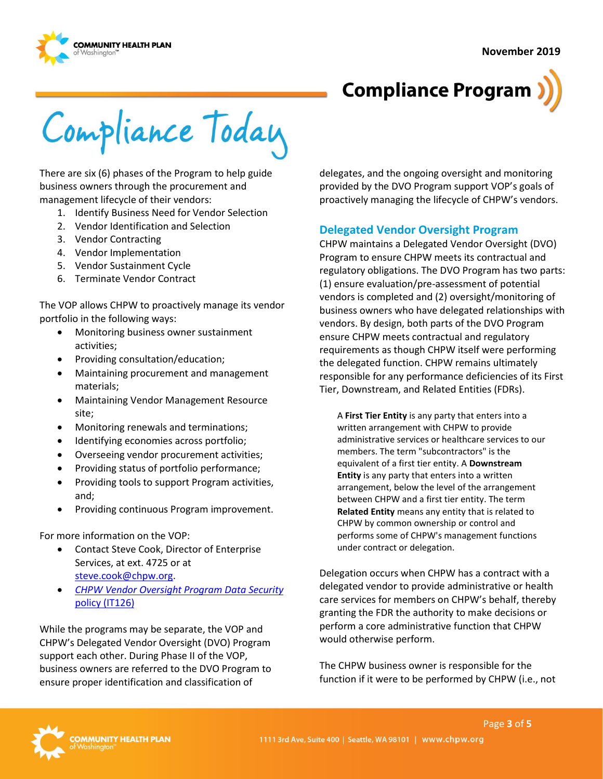

# **Compliance Program**

Compliance Today

There are six (6) phases of the Program to help guide business owners through the procurement and management lifecycle of their vendors:

- 1. Identify Business Need for Vendor Selection
- 2. Vendor Identification and Selection
- 3. Vendor Contracting
- 4. Vendor Implementation
- 5. Vendor Sustainment Cycle
- 6. Terminate Vendor Contract

The VOP allows CHPW to proactively manage its vendor portfolio in the following ways:

- Monitoring business owner sustainment activities;
- Providing consultation/education;
- Maintaining procurement and management materials;
- Maintaining Vendor Management Resource site;
- Monitoring renewals and terminations;
- Identifying economies across portfolio;
- Overseeing vendor procurement activities;
- Providing status of portfolio performance;
- Providing tools to support Program activities, and;
- Providing continuous Program improvement.

For more information on the VOP:

- Contact Steve Cook, Director of Enterprise Services, at ext. 4725 or at [steve.cook@chpw.org.](mailto:steve.cook@chpw.org)
- *[CHPW Vendor Oversight Program Data Security](http://chpsp/PP/IST/CHPW%20Vendor%20Oversite%20Program%20Data%20Security%20Policy%20-%20IT126.pdf)*  [policy \(IT126\)](http://chpsp/PP/IST/CHPW%20Vendor%20Oversite%20Program%20Data%20Security%20Policy%20-%20IT126.pdf)

While the programs may be separate, the VOP and CHPW's Delegated Vendor Oversight (DVO) Program support each other. During Phase II of the VOP, business owners are referred to the DVO Program to ensure proper identification and classification of

delegates, and the ongoing oversight and monitoring provided by the DVO Program support VOP's goals of proactively managing the lifecycle of CHPW's vendors.

#### **Delegated Vendor Oversight Program**

CHPW maintains a Delegated Vendor Oversight (DVO) Program to ensure CHPW meets its contractual and regulatory obligations. The DVO Program has two parts: (1) ensure evaluation/pre-assessment of potential vendors is completed and (2) oversight/monitoring of business owners who have delegated relationships with vendors. By design, both parts of the DVO Program ensure CHPW meets contractual and regulatory requirements as though CHPW itself were performing the delegated function. CHPW remains ultimately responsible for any performance deficiencies of its First Tier, Downstream, and Related Entities (FDRs).

A **First Tier Entity** is any party that enters into a written arrangement with CHPW to provide administrative services or healthcare services to our members. The term "subcontractors" is the equivalent of a first tier entity. A **Downstream Entity** is any party that enters into a written arrangement, below the level of the arrangement between CHPW and a first tier entity. The term **Related Entity** means any entity that is related to CHPW by common ownership or control and performs some of CHPW's management functions under contract or delegation.

Delegation occurs when CHPW has a contract with a delegated vendor to provide administrative or health care services for members on CHPW's behalf, thereby granting the FDR the authority to make decisions or perform a core administrative function that CHPW would otherwise perform.

The CHPW business owner is responsible for the function if it were to be performed by CHPW (i.e., not

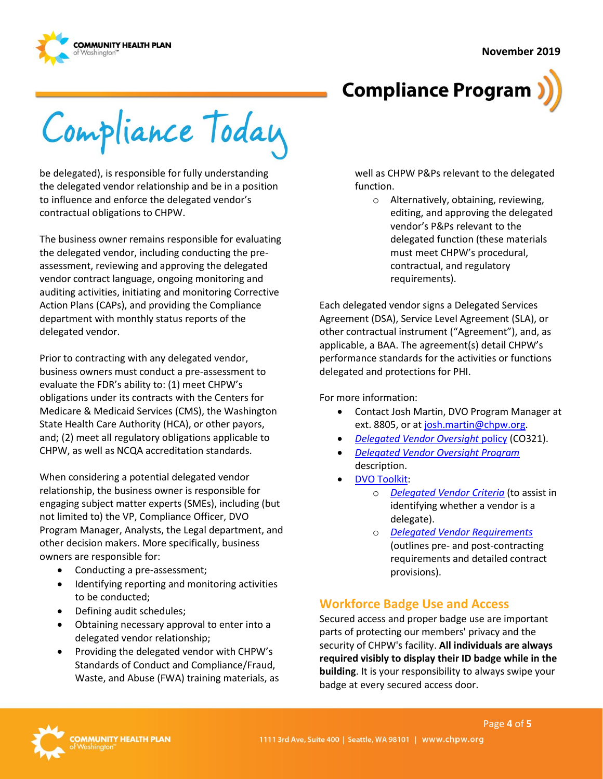



Compliance Today

be delegated), is responsible for fully understanding the delegated vendor relationship and be in a position to influence and enforce the delegated vendor's contractual obligations to CHPW.

The business owner remains responsible for evaluating the delegated vendor, including conducting the preassessment, reviewing and approving the delegated vendor contract language, ongoing monitoring and auditing activities, initiating and monitoring Corrective Action Plans (CAPs), and providing the Compliance department with monthly status reports of the delegated vendor.

Prior to contracting with any delegated vendor, business owners must conduct a pre-assessment to evaluate the FDR's ability to: (1) meet CHPW's obligations under its contracts with the Centers for Medicare & Medicaid Services (CMS), the Washington State Health Care Authority (HCA), or other payors, and; (2) meet all regulatory obligations applicable to CHPW, as well as NCQA accreditation standards.

When considering a potential delegated vendor relationship, the business owner is responsible for engaging subject matter experts (SMEs), including (but not limited to) the VP, Compliance Officer, DVO Program Manager, Analysts, the Legal department, and other decision makers. More specifically, business owners are responsible for:

- Conducting a pre-assessment;
- Identifying reporting and monitoring activities to be conducted;
- Defining audit schedules;
- Obtaining necessary approval to enter into a delegated vendor relationship;
- Providing the delegated vendor with CHPW's Standards of Conduct and Compliance/Fraud, Waste, and Abuse (FWA) training materials, as

well as CHPW P&Ps relevant to the delegated function.

o Alternatively, obtaining, reviewing, editing, and approving the delegated vendor's P&Ps relevant to the delegated function (these materials must meet CHPW's procedural, contractual, and regulatory requirements).

Each delegated vendor signs a Delegated Services Agreement (DSA), Service Level Agreement (SLA), or other contractual instrument ("Agreement"), and, as applicable, a BAA. The agreement(s) detail CHPW's performance standards for the activities or functions delegated and protections for PHI.

For more information:

- Contact Josh Martin, DVO Program Manager at ext. 8805, or a[t josh.martin@chpw.org.](mailto:josh.martin@chpw.org)
- *[Delegated Vendor Oversight](http://chpsp/PP/Compliance/Delegated%20Vendor%20Oversight%20Policy%20-%20CO321.pdf)* policy (CO321).
- *[Delegated Vendor Oversight Program](http://chpsp/PP/Compliance/Delegated%20Vendor%20Oversight%20Program%20Description%20-%20CO-PROG5.pdf)*  description.
- [DVO Toolkit:](https://inside.chpw.org/departments/compliance/dvo_toolkit)
	- o *[Delegated Vendor Criteria](https://inside.chpw.org/departments/compliance/dvo_toolkit/delegated_vendor_criteriapdf~1)* (to assist in identifying whether a vendor is a delegate).
	- o *[Delegated Vendor Requirements](https://inside.chpw.org/departments/compliance/dvo_toolkit/delegated_vendor_requirements_checklistpdf~3)* (outlines pre- and post-contracting requirements and detailed contract provisions).

#### **Workforce Badge Use and Access**

Secured access and proper badge use are important parts of protecting our members' privacy and the security of CHPW's facility. **All individuals are always required visibly to display their ID badge while in the building**. It is your responsibility to always swipe your badge at every secured access door.